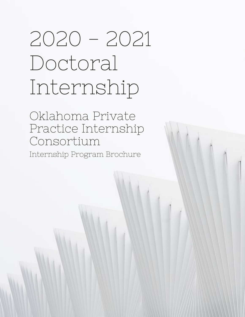# 2020 - 2021 Doctoral Internship

Oklahoma Private Practice Internship Consortium Internship Program Brochure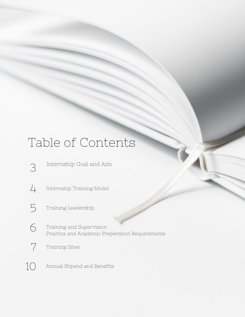## Table of Contents

- 3 Internship Goal and Aim
- 4 Internship Training Model
- 5 Training Leadership
- Training and Supervision Practica and Academic Preperation Requirements 6
- 7 Training Sites
- 10 Annual Stipend and Benefits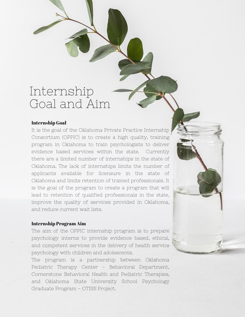### Internship Goal and Aim

#### Internship Goal

It is the goal of the Oklahoma Private Practice Internship Consortium (OPPIC) is to create a high quality, training program in Oklahoma to train psychologists to deliver evidence based services within the state. Currently there are a limited number of internships in the state of Oklahoma. The lack of internships limits the number of applicants available for licensure in the state of Oklahoma and limits retention of trained professionals. It is the goal of the program to create a program that will lead to retention of qualified professionals in the state, improve the quality of services provided in Oklahoma, and reduce current wait lists.

#### Internship Program Aim

The aim of the OPPIC internship program is to prepare psychology interns to provide evidence based, ethical, and competent services in the delivery of health service psychology with children and adolescents.

The program is a partnership between Oklahoma Pediatric Therapy Center - Behavioral Department, Cornerstone Behavioral Health and Pediatric Therapies, and Oklahoma State University School Psychology Graduate Program – OTISS Project.

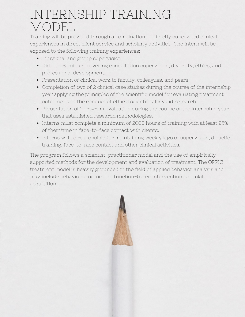### INTERNSHIP TRAINING MODEL

Training will be provided through a combination of directly supervised clinical field experiences in direct client service and scholarly activities. The intern will be exposed to the following training experiences:

- Individual and group supervision
- Didactic Seminars covering consultation supervision, diversity, ethics, and professional development.
- Presentation of clinical work to faculty, colleagues, and peers
- Completion of two of 2 clinical case studies during the course of the internship year applying the principles of the scientific model for evaluating treatment outcomes and the conduct of ethical scientifically valid research.
- Presentation of 1 program evaluation during the course of the internship year that uses established research methodologies.
- Interns must complete a minimum of 2000 hours of training with at least 25% of their time in face-to-face contact with clients.
- Interns will be responsible for maintaining weekly logs of supervision, didactic training, face-to-face contact and other clinical activities.

The program follows a scientist-practitioner model and the use of empirically supported methods for the development and evaluation of treatment. The OPPIC treatment model is heavily grounded in the field of applied behavior analysis and may include behavior assessment, function-based intervention, and skill acquisition.

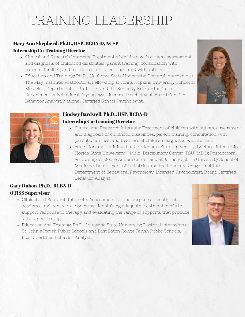# TRAINING LEADERSHIP

#### Mary Ann Shepherd, Ph.D., HSP, BCBA-D, NCSP Internship Co-Training Director

- Clinical and Research Interests: Treatment of children with autism, assessment and diagnosis of childhood disabilities, parent training, consultation with parents, families, and teachers of children diagnosed with autism.
- Education and Training: Ph.D., Oklahoma State University; Doctoral internship at The May Institute; Postdoctoral Fellowship at Johns Hopkins University School of Medicine, Department of Pediatrics and the Kennedy Krieger Institute Department of Behavioral Psychology. Licensed Psychologist, Board Certified Behavior Analyst, National Certified School Psychologist.





#### Lindsey Bardwell, Ph.D., HSP, BCBA-D Internship Co-Training Director

- Clinical and Research Interests: Treatment of children with autism, assessment and diagnosis of childhood disabilities, parent training, consultation with parents, families, and teachers of children diagnosed with autism.
- Education and Training: Ph.D., Oklahoma State University; Doctoral internship at Florida State University – Multi-Disciplinary Center (FSU-MDC); Postdoctoral Fellowship at Moore Autism Center and at Johns Hopkins University School of Medicine, Department of Pediatrics and the Kennedy Krieger Institute Department of Behavioral Psychology. Licensed Psychologist, Board Certified Behavior Analyst

#### Gary Duhon, Ph.D., BCBA-D OTISS Supervisor

- Clinical and Research Interests: Assessment for the purpose of treatment of academic and behavioral concerns. Identifying adequate treatment levels to support response to therapy and evaluating the range of supports that produce a therapeutic range.
- Education and Training: Ph.D., Louisiana State University; Doctoral internship at St. John's Parish Public Schools and East Baton Rouge Parish Public Schools. Board Certified Behavior Analyst.

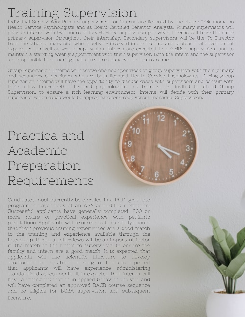# Training Supervision

Individual Supervision: Primary supervisors for interns are licensed by the state of Oklahoma as Health Service Psychologists and as Board Certified Behavior Analysts. Primary supervisors will provide interns with two hours of face-to-face supervision per week. Interns will have the same primary supervisor throughout their internship. Secondary supervisors will be the Co-Director from the other primary site, who is actively involved in the training and professional development experience, as well as group supervision. Interns are expected to prioritize supervision, and to maintain a standing weekly appointment with their supervisor. Both the intern and the supervisor are responsible for ensuring that all required supervision hours are met.

Group Supervision: Interns will receive one hour per week of group supervision with their primary and secondary supervisors who are both licensed Health Service Psychologists. During group supervision, interns will have the opportunity to discuss cases with supervisors and consult with their fellow intern. Other licensed psychologists and trainees are invited to attend Group Supervision, to ensure a rich learning environment. Interns will decide with their primary supervisor which cases would be appropriate for Group versus Individual Supervision.

# Practica and Academic Preparation Requirements



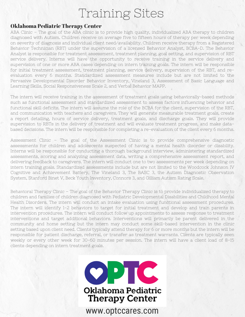## Training Sites

#### Oklahoma Pediatric Therapy Center

ABA Clinic – The goal of the ABA clinic is to provide high quality, individualized ABA therapy to children diagnosed with Autism. Children receive on average five to fifteen hours of therapy per week depending on severity of diagnosis and individual client need/availability. Children receive therapy from a Registered Behavior Technician (RBT) under the supervision of a licensed Behavior Analyst, BCBA-D. The Behavior Analyst is responsible for treatment assessment, treatment planning, goal setting, and supervision of RBT service delivery. Interns will have the opportunity to receive training in the service delivery and supervision of one or more ABA cases depending on intern training goals. The intern will be responsible for initial treatment assessment, treatment planning, service delivery, supervision of the RBT, and reevaluation every 6 months. Standardized assessment measures include but are not limited to the Pervasive Developmental Disorder Behavior Inventory, Vineland 3, Assessment of Basic Language and Learning Skills, Social Responsiveness Scale 2, and Verbal Behavior MAPP.

The intern will receive training in the assessment of treatment goals using behaviorally-based methods such as functional assessment and standardized assessment to assess factors influencing behavior and functional skill deficits. The intern will assume the role of the BCBA for the client, supervision of the RBT, and communication with teachers and caregivers. They will generate measurable treatment goals, create a report detailing, hours of service delivery, treatment goals, and discharge goals. They will provide supervision to RBTs in the delivery of treatment and will evaluate treatment progress, and make databased decisions. The intern will be responsible for completing a re-evaluation of the client every 6 months.

Assessment Clinic – The goal of the Assessment Clinic is to provide comprehensive diagnostic assessments for children and adolescents suspected of having a mental health disorder or disability. Interns will be responsible for conducting a thorough background interview, administering standardized assessments, scoring and analyzing assessment data, writing a comprehensive assessment report, and delivering feedback to caregivers. The intern will conduct one to two assessments per week depending on intern training goals. Standardized assessments include but are not limited to the Woodcock Johnson IV Cognitive and Achievement Battery, The Vineland 3, The BASC 3, the Autism Diagnostic Observation System, Stanford Binet V, Beck Youth Inventory, Connors 3, and Gilliam Autism Rating Scale.

Behavioral Therapy Clinic – The goal of the Behavior Therapy Clinic is to provide individualized therapy to children and families of children diagnosed with Pediatric Developmental Disabilities and Childhood Mental Health Disorders. The intern will conduct an intake evaluation using functional assessment procedures. The intern will identify 1-2 behaviors to target for initial treatment and develop and train parents in intervention procedures. The intern will conduct follow up appointments to assess response to treatment interventions and target additional behaviors. Interventions will primarily be parent delivered in the community and home setting but the intern may conduct some skill-based intervention in the clinic setting based upon client need. Clients typically attend therapy for 6 or more months but the intern will be responsible for patient discharge, referral, or transfer as treatment warrants. Clients are typically seen weekly or every other week for 30-60 minutes per session. The intern will have a client load of 8-15 clients depending on intern treatment goals.

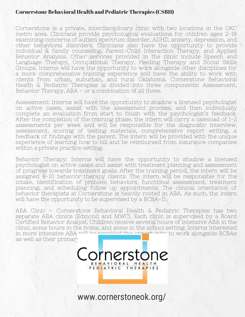#### Cornerstone Behavioral Health and Pediatric Therapies (CSBH)

Cornerstone is a private, interdisciplinary clinic with two locations in the OKC metro area. Clinicians provide psychological evaluations for children ages 2-18 examining concerns of autism spectrum disorder, ADHD, anxiety, depression, and other behavioral disorders. Clinicians also have the opportunity to provide individual & family counseling, Parent-Child Interaction Therapy, and Applied Behavior Analysis. Other services provided in the clinic include Speech and Language Therapy, Occupational Therapy, Feeding Therapy and Social Skills Groups. Interns will have the opportunity to work alongside other disciplines for a more comprehensive training experience and have the ability to work with clients from urban, suburban, and rural Oklahoma. Cornerstone Behavioral Health & Pediatric Therapies is divided into three components: Assessment, Behavior Therapy, ABA – or a combination of all three.

Assessment: Interns will have the opportunity to shadow a licensed psychologist on active cases, assist with the assessment process, and then individually complete an evaluation from start to finish with the psychologist's feedback. After the completion of the training phase, the intern will carry a caseload of 1-2 assessments per week and will be responsible for the diagnostic interview, assessment, scoring of testing materials, comprehensive report writing, a feedback of findings with the parent. The intern will be provided with the unique experience of learning how to bill and be reimbursed from insurance companies within a private practice setting.

Behavior Therapy: Interns will have the opportunity to shadow a licensed psychologist on active cases and assist with treatment planning and assessment of progress towards treatment goals. After the training period, the intern will be assigned 8-10 behavior therapy clients. The intern will be responsible for the intake, identification of problem behaviors, functional assessment, treatment planning, and scheduling follow up appointments. The clinical orientation of behavior therapists at Cornerstone is heavily rooted in ABA. As such, the intern will have the opportunity to be supervised by a BCBA-D.

ABA Clinic – Cornerstone Behavioral Health & Pediatric Therapies has two separate ABA clinics (Edmond and MWC). Each clinic is supervised by a Board Certified Behavior Analyst. Children receive several hours of intensive ABA in the clinic, some hours in the home, and some in the school setting. Interns interested in more intensive ABA will be provided the opportunity to work alongside BCBAs as well as their primary

one

www.cornerstoneok.org/

BEHAVIORAL HEALTH PEDIATRIC THERAPIES

ornerst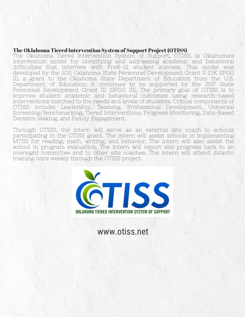#### The Oklahoma Tiered Intervention System of Support Project (OTISS)

The Oklahoma Tiered Intervention System of Support, OTISS, is Oklahoma's intervention model for identifying and addressing academic and behavioral difficulties that interfere with PreK-12 student success. This model was developed by the 2011 Oklahoma State Personnel Development Grant II (OK SPDG II), a grant to the Oklahoma State Department of Education from the U.S. Department of Education; it continues to be supported by the 2017 State Personnel Development Grant III (SPDG III). The primary goal of OTISS is to improve student academic and behavioral outcomes using research-based interventions matched to the needs and levels of students. Critical components of OTISS include: Leadership, Teaming, Professional Development, Universal Screening/Benchmarking, Tiered Interventions, Progress Monitoring, Data-Based Decision Making, and Family Engagement.

Through OTISS, the intern will serve as an external site coach to schools participating in the OTISS grant. The intern will assist schools in implementing MTSS for reading, math, writing, and behavior. The intern will also assist the school in program evaluation. The intern will report site progress back to an oversight committee and to other site coaches. The intern will attend didactic training once weekly through the OTISS project.



www.otiss.net